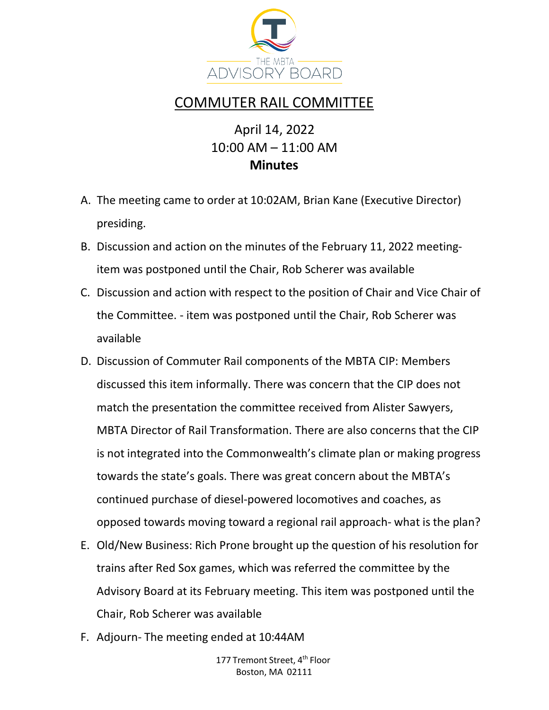

## COMMUTER RAIL COMMITTEE

## April 14, 2022 10:00 AM – 11:00 AM **Minutes**

- A. The meeting came to order at 10:02AM, Brian Kane (Executive Director) presiding.
- B. Discussion and action on the minutes of the February 11, 2022 meetingitem was postponed until the Chair, Rob Scherer was available
- C. Discussion and action with respect to the position of Chair and Vice Chair of the Committee. - item was postponed until the Chair, Rob Scherer was available
- D. Discussion of Commuter Rail components of the MBTA CIP: Members discussed this item informally. There was concern that the CIP does not match the presentation the committee received from Alister Sawyers, MBTA Director of Rail Transformation. There are also concerns that the CIP is not integrated into the Commonwealth's climate plan or making progress towards the state's goals. There was great concern about the MBTA's continued purchase of diesel-powered locomotives and coaches, as opposed towards moving toward a regional rail approach- what is the plan?
- E. Old/New Business: Rich Prone brought up the question of his resolution for trains after Red Sox games, which was referred the committee by the Advisory Board at its February meeting. This item was postponed until the Chair, Rob Scherer was available
- F. Adjourn- The meeting ended at 10:44AM